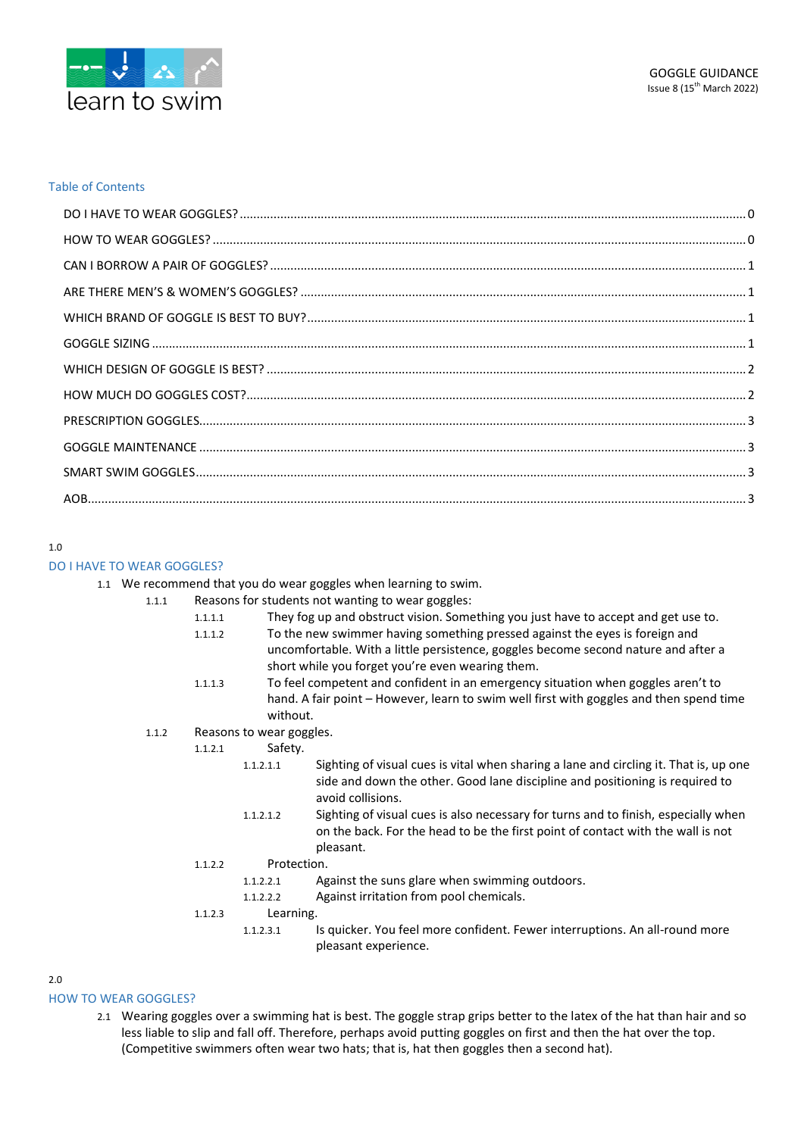

## Table of Contents

### 1.0

## <span id="page-0-0"></span>DO I HAVE TO WEAR GOGGLES?

1.1 We recommend that you do wear goggles when learning to swim.

- 1.1.1 Reasons for students not wanting to wear goggles:
	- 1.1.1.1 They fog up and obstruct vision. Something you just have to accept and get use to.
	- 1.1.1.2 To the new swimmer having something pressed against the eyes is foreign and
		- uncomfortable. With a little persistence, goggles become second nature and after a short while you forget you're even wearing them.
	- 1.1.1.3 To feel competent and confident in an emergency situation when goggles aren't to hand. A fair point – However, learn to swim well first with goggles and then spend time without.
	- 1.1.2 Reasons to wear goggles.
		- 1.1.2.1 Safety.
			- 1.1.2.1.1 Sighting of visual cues is vital when sharing a lane and circling it. That is, up one side and down the other. Good lane discipline and positioning is required to avoid collisions.
				- 1.1.2.1.2 Sighting of visual cues is also necessary for turns and to finish, especially when on the back. For the head to be the first point of contact with the wall is not pleasant.
		- 1.1.2.2 Protection.
			- 1.1.2.2.1 Against the suns glare when swimming outdoors.
			- 1.1.2.2.2 Against irritation from pool chemicals.
		- 1.1.2.3 Learning.
			- 1.1.2.3.1 Is quicker. You feel more confident. Fewer interruptions. An all-round more pleasant experience.

2.0

## <span id="page-0-1"></span>HOW TO WEAR GOGGLES?

2.1 Wearing goggles over a swimming hat is best. The goggle strap grips better to the latex of the hat than hair and so less liable to slip and fall off. Therefore, perhaps avoid putting goggles on first and then the hat over the top. (Competitive swimmers often wear two hats; that is, hat then goggles then a second hat).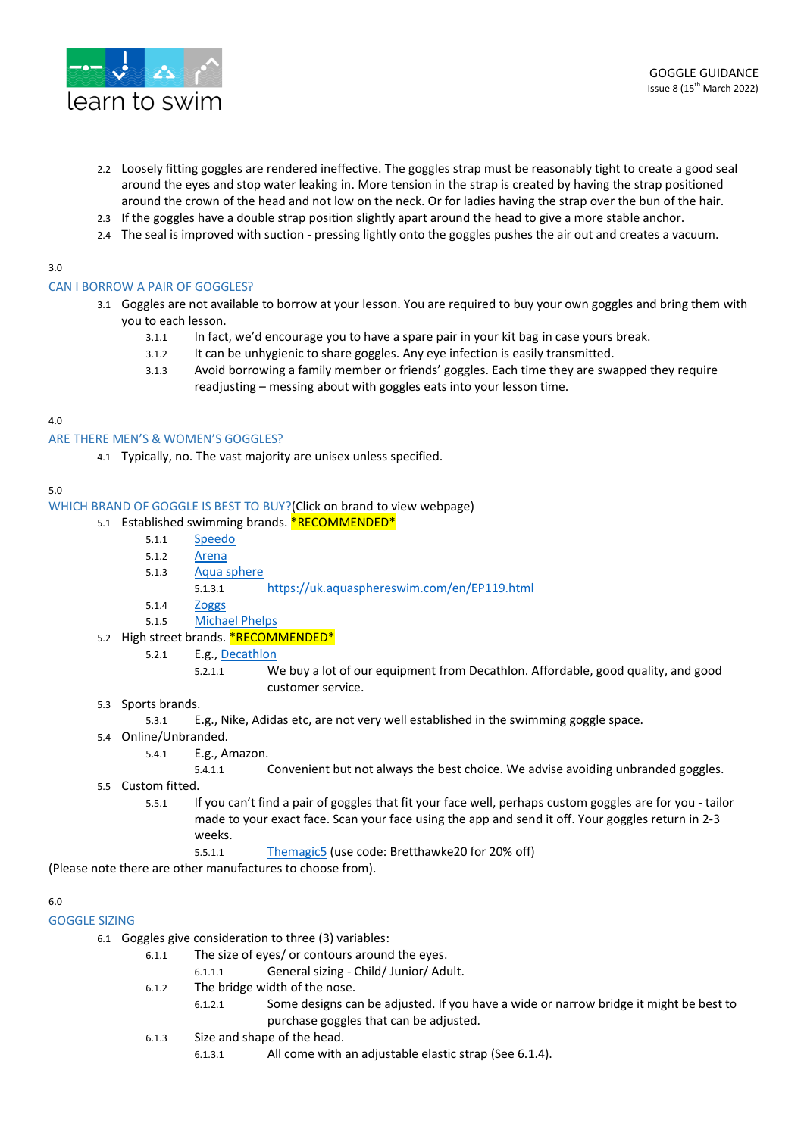

- 2.2 Loosely fitting goggles are rendered ineffective. The goggles strap must be reasonably tight to create a good seal around the eyes and stop water leaking in. More tension in the strap is created by having the strap positioned around the crown of the head and not low on the neck. Or for ladies having the strap over the bun of the hair.
- 2.3 If the goggles have a double strap position slightly apart around the head to give a more stable anchor.
- 2.4 The seal is improved with suction pressing lightly onto the goggles pushes the air out and creates a vacuum.

## 3.0

## <span id="page-1-0"></span>CAN I BORROW A PAIR OF GOGGLES?

- 3.1 Goggles are not available to borrow at your lesson. You are required to buy your own goggles and bring them with you to each lesson.
	- 3.1.1 In fact, we'd encourage you to have a spare pair in your kit bag in case yours break.
	- 3.1.2 It can be unhygienic to share goggles. Any eye infection is easily transmitted.
	- 3.1.3 Avoid borrowing a family member or friends' goggles. Each time they are swapped they require readjusting – messing about with goggles eats into your lesson time.

## 4.0

## <span id="page-1-1"></span>ARE THERE MEN'S & WOMEN'S GOGGLES?

4.1 Typically, no. The vast majority are unisex unless specified.

## 5.0

## <span id="page-1-2"></span>WHICH BRAND OF GOGGLE IS BEST TO BUY?(Click on brand to view webpage)

## 5.1 Established swimming brands. **\*RECOMMENDED\***

- 5.1.1 [Speedo](https://www.speedo.com/goggles.list)
- 5.1.2 [Arena](https://www.arenasport.com/en_uk/women/equipment/swim-goggles.html)
- 5.1.3 [Aqua sphere](https://uk.aquasphereswim.com/en/Swimming%20Goggles)
	- 5.1.3.1 <https://uk.aquasphereswim.com/en/EP119.html>
- 5.1.4 [Zoggs](https://www.zoggs.com/en_GB/goggles)
- 5.1.5 [Michael Phelps](https://us.michaelphelps.com/collections/goggles-1)

#### 5.2 High street brands. **\*RECOMMENDED\***

- 5.2.1 E.g.[, Decathlon](https://www.decathlon.co.uk/search?Ntt=goggles)
	- 5.2.1.1 We buy a lot of our equipment from Decathlon. Affordable, good quality, and good customer service.
- 5.3 Sports brands.
	- 5.3.1 E.g., Nike, Adidas etc, are not very well established in the swimming goggle space.
- 5.4 Online/Unbranded.
	- 5.4.1 E.g., Amazon.
		- 5.4.1.1 Convenient but not always the best choice. We advise avoiding unbranded goggles.
- 5.5 Custom fitted.
	- 5.5.1 If you can't find a pair of goggles that fit your face well, perhaps custom goggles are for you tailor made to your exact face. Scan your face using the app and send it off. Your goggles return in 2-3 weeks.
		- 5.5.1.1 [Themagic5](https://themagic5.com/) (use code: Bretthawke20 for 20% off)

(Please note there are other manufactures to choose from).

## 6.0

#### <span id="page-1-3"></span>GOGGLE SIZING

- 6.1 Goggles give consideration to three (3) variables:
	- 6.1.1 The size of eyes/ or contours around the eyes.
		- 6.1.1.1 General sizing Child/ Junior/ Adult.
		- 6.1.2 The bridge width of the nose.
			- 6.1.2.1 Some designs can be adjusted. If you have a wide or narrow bridge it might be best to purchase goggles that can be adjusted.
		- 6.1.3 Size and shape of the head.
			- 6.1.3.1 All come with an adjustable elastic strap (See 6.1.4).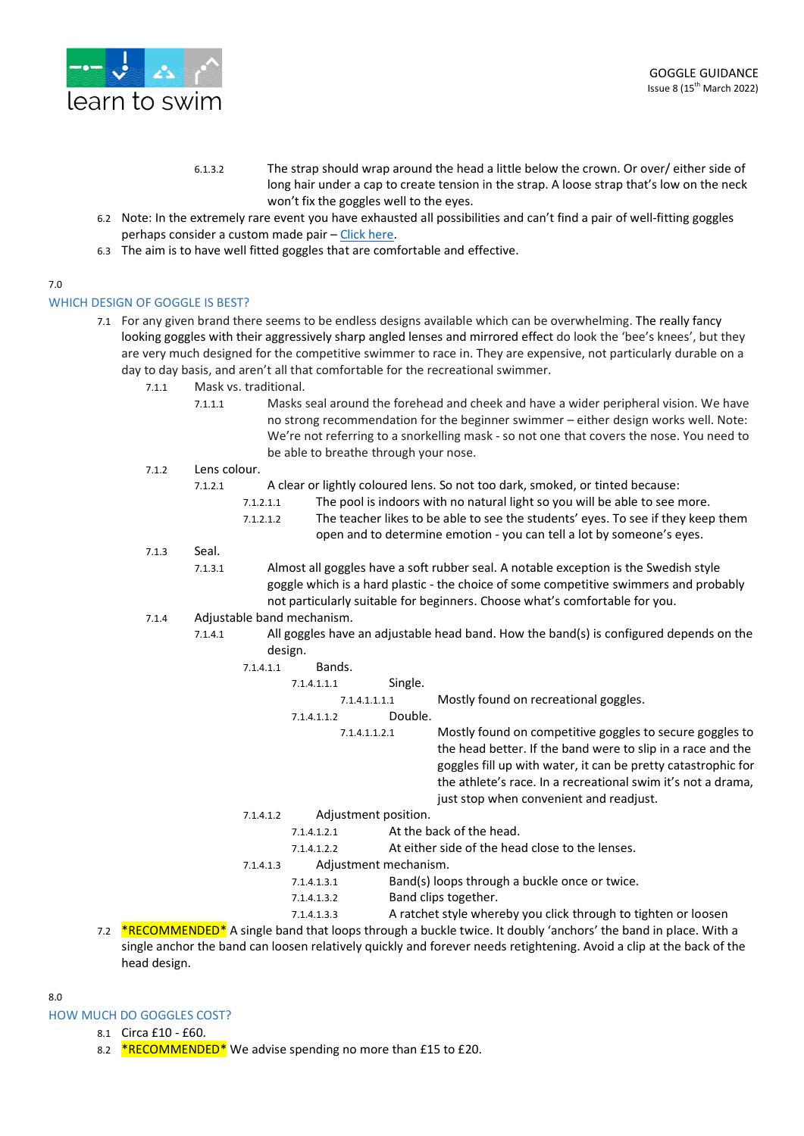

- 6.1.3.2 The strap should wrap around the head a little below the crown. Or over/ either side of long hair under a cap to create tension in the strap. A loose strap that's low on the neck won't fix the goggles well to the eyes.
- 6.2 Note: In the extremely rare event you have exhausted all possibilities and can't find a pair of well-fitting goggles perhaps consider a custom made pair – Click [here.](https://swimswam.com/now-you-can-buy-the-worlds-first-custom-fitted-swimming-goggles/)
- 6.3 The aim is to have well fitted goggles that are comfortable and effective.

# 7.0

<span id="page-2-0"></span>WHICH DESIGN OF GOGGLE IS BEST?

- 7.1 For any given brand there seems to be endless designs available which can be overwhelming. The really fancy looking goggles with their aggressively sharp angled lenses and mirrored effect do look the 'bee's knees', but they are very much designed for the competitive swimmer to race in. They are expensive, not particularly durable on a day to day basis, and aren't all that comfortable for the recreational swimmer.
	- 7.1.1 Mask vs. traditional.
		- 7.1.1.1 Masks seal around the forehead and cheek and have a wider peripheral vision. We have no strong recommendation for the beginner swimmer – either design works well. Note: We're not referring to a snorkelling mask - so not one that covers the nose. You need to be able to breathe through your nose.
	- 7.1.2 Lens colour.
		- 7.1.2.1 A clear or lightly coloured lens. So not too dark, smoked, or tinted because:
			- 7.1.2.1.1 The pool is indoors with no natural light so you will be able to see more.
			- 7.1.2.1.2 The teacher likes to be able to see the students' eyes. To see if they keep them open and to determine emotion - you can tell a lot by someone's eyes.
	- 7.1.3 Seal.
		- 7.1.3.1 Almost all goggles have a soft rubber seal. A notable exception is the Swedish style goggle which is a hard plastic - the choice of some competitive swimmers and probably not particularly suitable for beginners. Choose what's comfortable for you.
	- 7.1.4 Adjustable band mechanism.
		- 7.1.4.1 All goggles have an adjustable head band. How the band(s) is configured depends on the design.

| 7.1.4.1.1 | Bands. |
|-----------|--------|

- 7.1.4.1.1.1 Single. 7.1.4.1.1.1.1 Mostly found on recreational goggles. 7.1.4.1.1.2 Double.
	-

7.1.4.1.1.2.1 Mostly found on competitive goggles to secure goggles to the head better. If the band were to slip in a race and the goggles fill up with water, it can be pretty catastrophic for the athlete's race. In a recreational swim it's not a drama, just stop when convenient and readjust.

- 7.1.4.1.2 Adjustment position.
	- 7.1.4.1.2.1 At the back of the head.
		- 7.1.4.1.2.2 At either side of the head close to the lenses.
- 7.1.4.1.3 Adjustment mechanism.
	- 7.1.4.1.3.1 Band(s) loops through a buckle once or twice.
	- 7.1.4.1.3.2 Band clips together.
	- 7.1.4.1.3.3 A ratchet style whereby you click through to tighten or loosen
- 7.2 \*RECOMMENDED\* A single band that loops through a buckle twice. It doubly 'anchors' the band in place. With a single anchor the band can loosen relatively quickly and forever needs retightening. Avoid a clip at the back of the head design.
- $8.0$

<span id="page-2-1"></span>HOW MUCH DO GOGGLES COST?

- 8.1 Circa £10 £60.
- 8.2  $*$ RECOMMENDED\* We advise spending no more than £15 to £20.